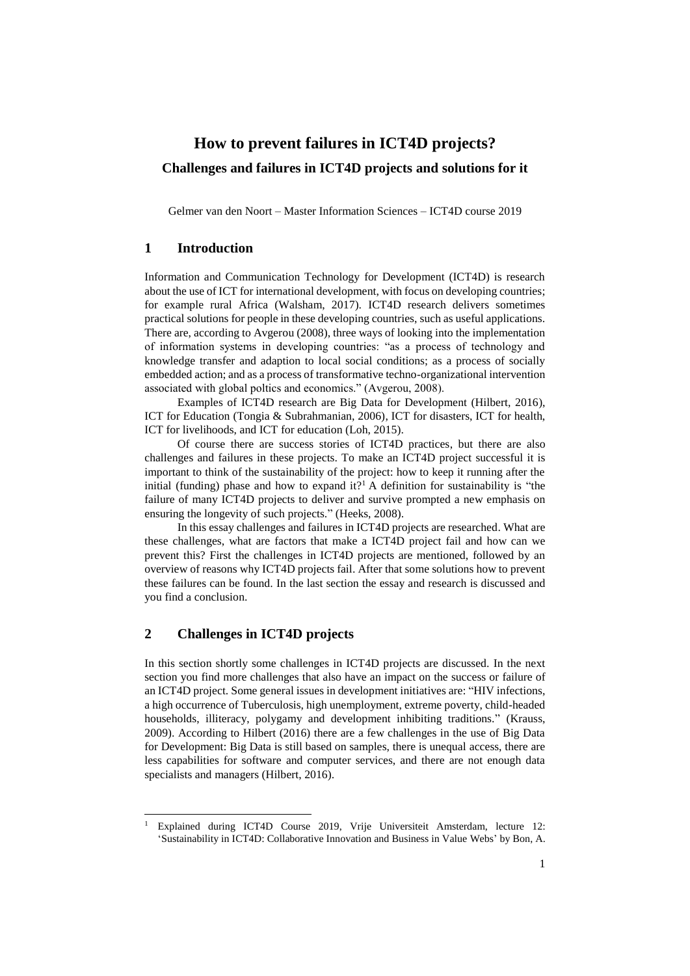# **How to prevent failures in ICT4D projects? Challenges and failures in ICT4D projects and solutions for it**

Gelmer van den Noort – Master Information Sciences – ICT4D course 2019

### **1 Introduction**

Information and Communication Technology for Development (ICT4D) is research about the use of ICT for international development, with focus on developing countries; for example rural Africa (Walsham, 2017). ICT4D research delivers sometimes practical solutions for people in these developing countries, such as useful applications. There are, according to Avgerou (2008), three ways of looking into the implementation of information systems in developing countries: "as a process of technology and knowledge transfer and adaption to local social conditions; as a process of socially embedded action; and as a process of transformative techno-organizational intervention associated with global poltics and economics." (Avgerou, 2008).

Examples of ICT4D research are Big Data for Development (Hilbert, 2016), ICT for Education (Tongia & Subrahmanian, 2006), ICT for disasters, ICT for health, ICT for livelihoods, and ICT for education (Loh, 2015).

Of course there are success stories of ICT4D practices, but there are also challenges and failures in these projects. To make an ICT4D project successful it is important to think of the sustainability of the project: how to keep it running after the initial (funding) phase and how to expand it?<sup>1</sup> A definition for sustainability is "the failure of many ICT4D projects to deliver and survive prompted a new emphasis on ensuring the longevity of such projects." (Heeks, 2008).

In this essay challenges and failures in ICT4D projects are researched. What are these challenges, what are factors that make a ICT4D project fail and how can we prevent this? First the challenges in ICT4D projects are mentioned, followed by an overview of reasons why ICT4D projects fail. After that some solutions how to prevent these failures can be found. In the last section the essay and research is discussed and you find a conclusion.

# **2 Challenges in ICT4D projects**

1

In this section shortly some challenges in ICT4D projects are discussed. In the next section you find more challenges that also have an impact on the success or failure of an ICT4D project. Some general issues in development initiatives are: "HIV infections, a high occurrence of Tuberculosis, high unemployment, extreme poverty, child-headed households, illiteracy, polygamy and development inhibiting traditions." (Krauss, 2009). According to Hilbert (2016) there are a few challenges in the use of Big Data for Development: Big Data is still based on samples, there is unequal access, there are less capabilities for software and computer services, and there are not enough data specialists and managers (Hilbert, 2016).

<sup>&</sup>lt;sup>1</sup> Explained during ICT4D Course 2019, Vrije Universiteit Amsterdam, lecture 12: 'Sustainability in ICT4D: Collaborative Innovation and Business in Value Webs' by Bon, A.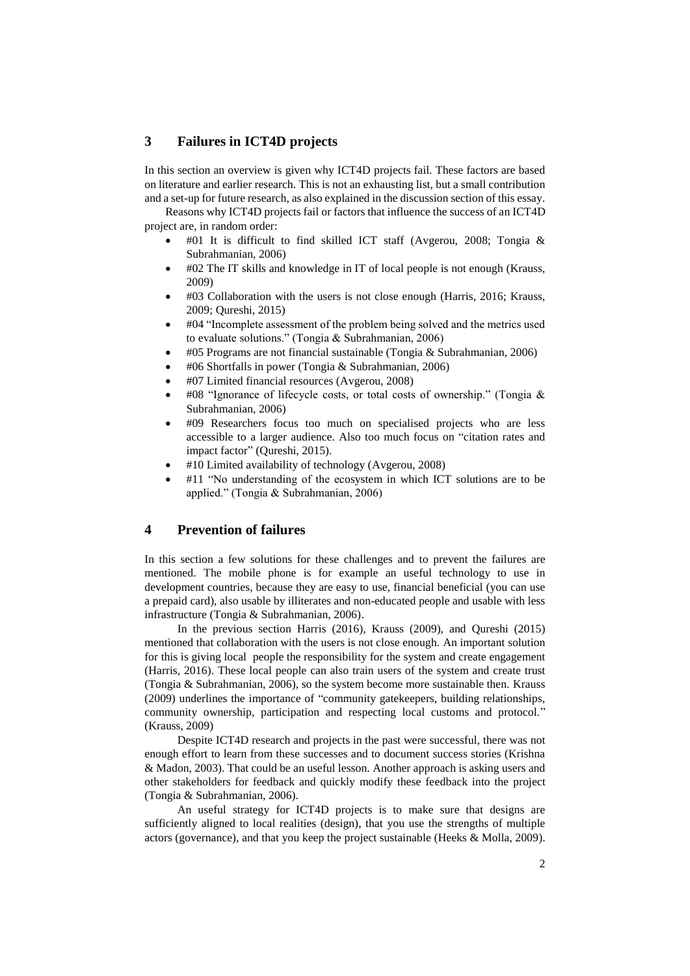### **3 Failures in ICT4D projects**

In this section an overview is given why ICT4D projects fail. These factors are based on literature and earlier research. This is not an exhausting list, but a small contribution and a set-up for future research, as also explained in the discussion section of this essay.

Reasons why ICT4D projects fail or factors that influence the success of an ICT4D project are, in random order:

- #01 It is difficult to find skilled ICT staff (Avgerou, 2008; Tongia  $\&$ Subrahmanian, 2006)
- #02 The IT skills and knowledge in IT of local people is not enough (Krauss, 2009)
- #03 Collaboration with the users is not close enough (Harris, 2016; Krauss, 2009; Qureshi, 2015)
- #04 "Incomplete assessment of the problem being solved and the metrics used to evaluate solutions." (Tongia & Subrahmanian, 2006)
- #05 Programs are not financial sustainable (Tongia & Subrahmanian, 2006)
- #06 Shortfalls in power (Tongia & Subrahmanian, 2006)
- #07 Limited financial resources (Avgerou, 2008)
- #08 "Ignorance of lifecycle costs, or total costs of ownership." (Tongia & Subrahmanian, 2006)
- #09 Researchers focus too much on specialised projects who are less accessible to a larger audience. Also too much focus on "citation rates and impact factor" (Qureshi, 2015).
- #10 Limited availability of technology (Avgerou, 2008)
- #11 "No understanding of the ecosystem in which ICT solutions are to be applied." (Tongia & Subrahmanian, 2006)

## **4 Prevention of failures**

In this section a few solutions for these challenges and to prevent the failures are mentioned. The mobile phone is for example an useful technology to use in development countries, because they are easy to use, financial beneficial (you can use a prepaid card), also usable by illiterates and non-educated people and usable with less infrastructure (Tongia & Subrahmanian, 2006).

In the previous section Harris (2016), Krauss (2009), and Qureshi (2015) mentioned that collaboration with the users is not close enough. An important solution for this is giving local people the responsibility for the system and create engagement (Harris, 2016). These local people can also train users of the system and create trust (Tongia & Subrahmanian, 2006), so the system become more sustainable then. Krauss (2009) underlines the importance of "community gatekeepers, building relationships, community ownership, participation and respecting local customs and protocol." (Krauss, 2009)

Despite ICT4D research and projects in the past were successful, there was not enough effort to learn from these successes and to document success stories (Krishna & Madon, 2003). That could be an useful lesson. Another approach is asking users and other stakeholders for feedback and quickly modify these feedback into the project (Tongia & Subrahmanian, 2006).

An useful strategy for ICT4D projects is to make sure that designs are sufficiently aligned to local realities (design), that you use the strengths of multiple actors (governance), and that you keep the project sustainable (Heeks & Molla, 2009).